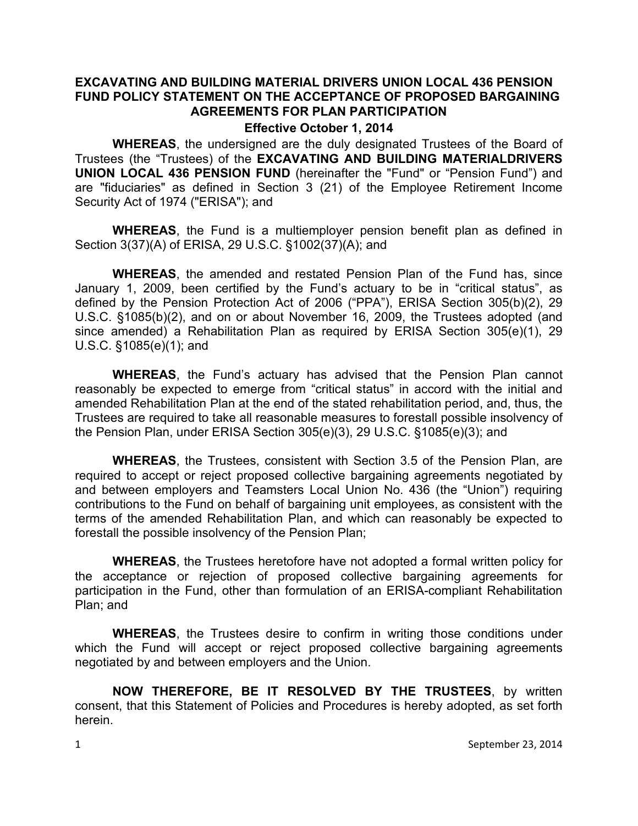### **EXCAVATING AND BUILDING MATERIAL DRIVERS UNION LOCAL 436 PENSION FUND POLICY STATEMENT ON THE ACCEPTANCE OF PROPOSED BARGAINING AGREEMENTS FOR PLAN PARTICIPATION**

#### **Effective October 1, 2014**

**WHEREAS**, the undersigned are the duly designated Trustees of the Board of Trustees (the "Trustees) of the **EXCAVATING AND BUILDING MATERIALDRIVERS UNION LOCAL 436 PENSION FUND** (hereinafter the "Fund" or "Pension Fund") and are "fiduciaries" as defined in Section 3 (21) of the Employee Retirement Income Security Act of 1974 ("ERISA"); and

**WHEREAS**, the Fund is a multiemployer pension benefit plan as defined in Section 3(37)(A) of ERISA, 29 U.S.C. §1002(37)(A); and

**WHEREAS**, the amended and restated Pension Plan of the Fund has, since January 1, 2009, been certified by the Fund's actuary to be in "critical status", as defined by the Pension Protection Act of 2006 ("PPA"), ERISA Section 305(b)(2), 29 U.S.C. §1085(b)(2), and on or about November 16, 2009, the Trustees adopted (and since amended) a Rehabilitation Plan as required by ERISA Section 305(e)(1), 29 U.S.C. §1085(e)(1); and

**WHEREAS**, the Fund's actuary has advised that the Pension Plan cannot reasonably be expected to emerge from "critical status" in accord with the initial and amended Rehabilitation Plan at the end of the stated rehabilitation period, and, thus, the Trustees are required to take all reasonable measures to forestall possible insolvency of the Pension Plan, under ERISA Section 305(e)(3), 29 U.S.C. §1085(e)(3); and

**WHEREAS**, the Trustees, consistent with Section 3.5 of the Pension Plan, are required to accept or reject proposed collective bargaining agreements negotiated by and between employers and Teamsters Local Union No. 436 (the "Union") requiring contributions to the Fund on behalf of bargaining unit employees, as consistent with the terms of the amended Rehabilitation Plan, and which can reasonably be expected to forestall the possible insolvency of the Pension Plan;

**WHEREAS**, the Trustees heretofore have not adopted a formal written policy for the acceptance or rejection of proposed collective bargaining agreements for participation in the Fund, other than formulation of an ERISA-compliant Rehabilitation Plan; and

**WHEREAS**, the Trustees desire to confirm in writing those conditions under which the Fund will accept or reject proposed collective bargaining agreements negotiated by and between employers and the Union.

**NOW THEREFORE, BE IT RESOLVED BY THE TRUSTEES**, by written consent, that this Statement of Policies and Procedures is hereby adopted, as set forth herein.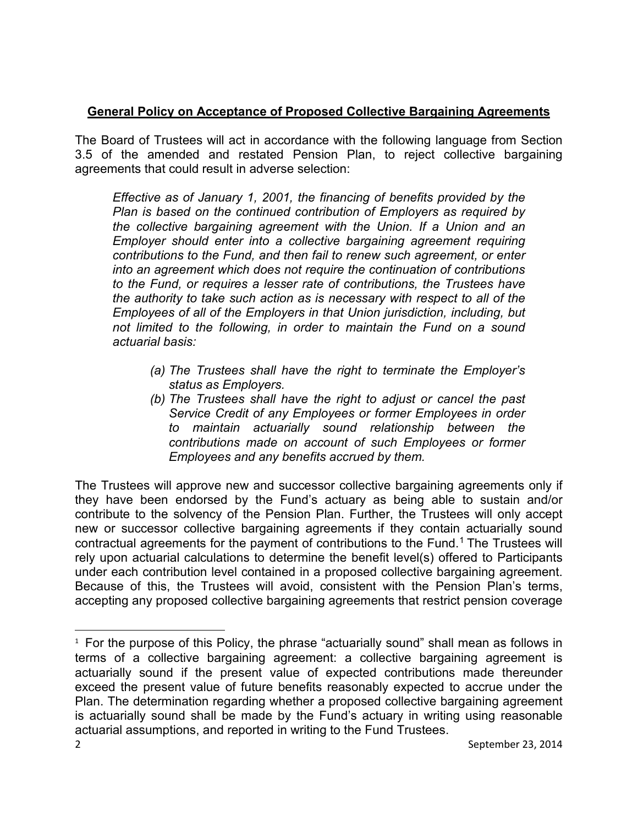# **General Policy on Acceptance of Proposed Collective Bargaining Agreements**

The Board of Trustees will act in accordance with the following language from Section 3.5 of the amended and restated Pension Plan, to reject collective bargaining agreements that could result in adverse selection:

*Effective as of January 1, 2001, the financing of benefits provided by the Plan is based on the continued contribution of Employers as required by the collective bargaining agreement with the Union. If a Union and an Employer should enter into a collective bargaining agreement requiring contributions to the Fund, and then fail to renew such agreement, or enter into an agreement which does not require the continuation of contributions to the Fund, or requires a lesser rate of contributions, the Trustees have the authority to take such action as is necessary with respect to all of the Employees of all of the Employers in that Union jurisdiction, including, but not limited to the following, in order to maintain the Fund on a sound actuarial basis:*

- *(a) The Trustees shall have the right to terminate the Employer's status as Employers.*
- *(b) The Trustees shall have the right to adjust or cancel the past Service Credit of any Employees or former Employees in order to maintain actuarially sound relationship between the contributions made on account of such Employees or former Employees and any benefits accrued by them.*

The Trustees will approve new and successor collective bargaining agreements only if they have been endorsed by the Fund's actuary as being able to sustain and/or contribute to the solvency of the Pension Plan. Further, the Trustees will only accept new or successor collective bargaining agreements if they contain actuarially sound contractual agreements for the payment of contributions to the Fund.<sup>[1](#page-1-0)</sup> The Trustees will rely upon actuarial calculations to determine the benefit level(s) offered to Participants under each contribution level contained in a proposed collective bargaining agreement. Because of this, the Trustees will avoid, consistent with the Pension Plan's terms, accepting any proposed collective bargaining agreements that restrict pension coverage

<span id="page-1-0"></span> $1$  For the purpose of this Policy, the phrase "actuarially sound" shall mean as follows in terms of a collective bargaining agreement: a collective bargaining agreement is actuarially sound if the present value of expected contributions made thereunder exceed the present value of future benefits reasonably expected to accrue under the Plan. The determination regarding whether a proposed collective bargaining agreement is actuarially sound shall be made by the Fund's actuary in writing using reasonable actuarial assumptions, and reported in writing to the Fund Trustees.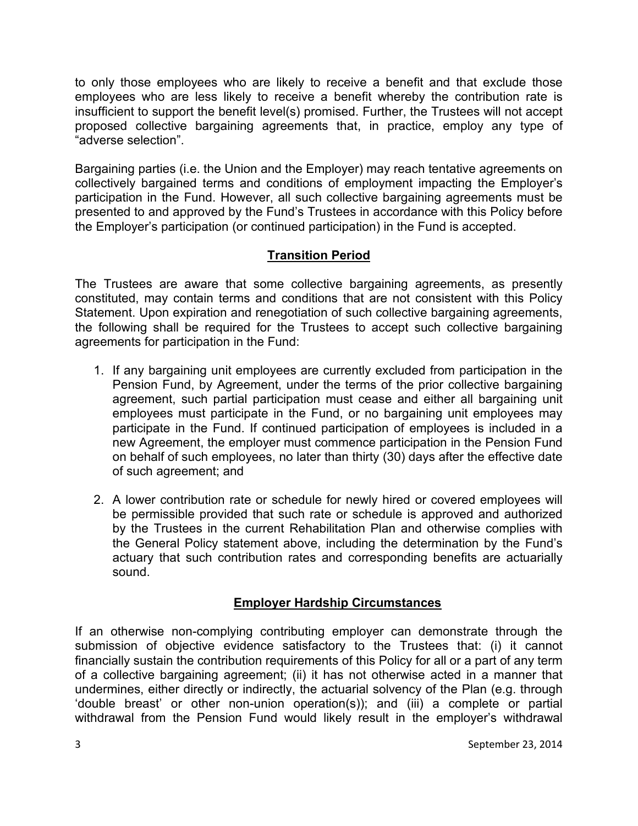to only those employees who are likely to receive a benefit and that exclude those employees who are less likely to receive a benefit whereby the contribution rate is insufficient to support the benefit level(s) promised. Further, the Trustees will not accept proposed collective bargaining agreements that, in practice, employ any type of "adverse selection".

Bargaining parties (i.e. the Union and the Employer) may reach tentative agreements on collectively bargained terms and conditions of employment impacting the Employer's participation in the Fund. However, all such collective bargaining agreements must be presented to and approved by the Fund's Trustees in accordance with this Policy before the Employer's participation (or continued participation) in the Fund is accepted.

# **Transition Period**

The Trustees are aware that some collective bargaining agreements, as presently constituted, may contain terms and conditions that are not consistent with this Policy Statement. Upon expiration and renegotiation of such collective bargaining agreements, the following shall be required for the Trustees to accept such collective bargaining agreements for participation in the Fund:

- 1. If any bargaining unit employees are currently excluded from participation in the Pension Fund, by Agreement, under the terms of the prior collective bargaining agreement, such partial participation must cease and either all bargaining unit employees must participate in the Fund, or no bargaining unit employees may participate in the Fund. If continued participation of employees is included in a new Agreement, the employer must commence participation in the Pension Fund on behalf of such employees, no later than thirty (30) days after the effective date of such agreement; and
- 2. A lower contribution rate or schedule for newly hired or covered employees will be permissible provided that such rate or schedule is approved and authorized by the Trustees in the current Rehabilitation Plan and otherwise complies with the General Policy statement above, including the determination by the Fund's actuary that such contribution rates and corresponding benefits are actuarially sound.

## **Employer Hardship Circumstances**

If an otherwise non-complying contributing employer can demonstrate through the submission of objective evidence satisfactory to the Trustees that: (i) it cannot financially sustain the contribution requirements of this Policy for all or a part of any term of a collective bargaining agreement; (ii) it has not otherwise acted in a manner that undermines, either directly or indirectly, the actuarial solvency of the Plan (e.g. through 'double breast' or other non-union operation(s)); and (iii) a complete or partial withdrawal from the Pension Fund would likely result in the employer's withdrawal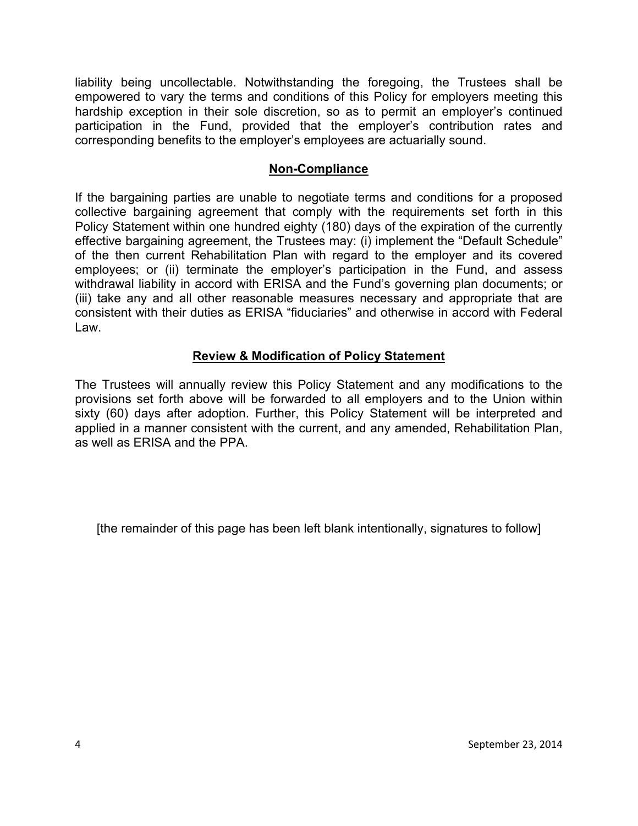liability being uncollectable. Notwithstanding the foregoing, the Trustees shall be empowered to vary the terms and conditions of this Policy for employers meeting this hardship exception in their sole discretion, so as to permit an employer's continued participation in the Fund, provided that the employer's contribution rates and corresponding benefits to the employer's employees are actuarially sound.

### **Non-Compliance**

If the bargaining parties are unable to negotiate terms and conditions for a proposed collective bargaining agreement that comply with the requirements set forth in this Policy Statement within one hundred eighty (180) days of the expiration of the currently effective bargaining agreement, the Trustees may: (i) implement the "Default Schedule" of the then current Rehabilitation Plan with regard to the employer and its covered employees; or (ii) terminate the employer's participation in the Fund, and assess withdrawal liability in accord with ERISA and the Fund's governing plan documents; or (iii) take any and all other reasonable measures necessary and appropriate that are consistent with their duties as ERISA "fiduciaries" and otherwise in accord with Federal Law.

## **Review & Modification of Policy Statement**

The Trustees will annually review this Policy Statement and any modifications to the provisions set forth above will be forwarded to all employers and to the Union within sixty (60) days after adoption. Further, this Policy Statement will be interpreted and applied in a manner consistent with the current, and any amended, Rehabilitation Plan, as well as ERISA and the PPA.

[the remainder of this page has been left blank intentionally, signatures to follow]